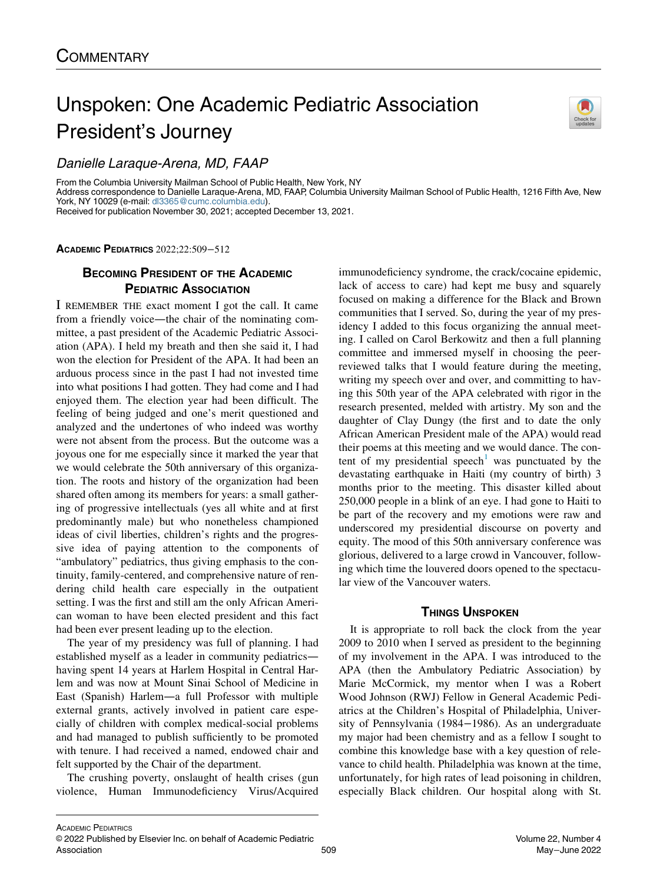# Unspoken: One Academic Pediatric Association President's Journey



Danielle Laraque-Arena, MD, FAAP

From the Columbia University Mailman School of Public Health, New York, NY Address correspondence to Danielle Laraque-Arena, MD, FAAP, Columbia University Mailman School of Public Health, 1216 Fifth Ave, New York, NY 10029 (e-mail: [dl3365@cumc.columbia.edu\)](mailto:dl3365@cumc.columbia.edu) Received for publication November 30, 2021; accepted December 13, 2021.

ACADEMIC PEDIATRICS 2022;22:509−512

## BECOMING PRESIDENT OF THE ACADEMIC PEDIATRIC ASSOCIATION

I REMEMBER THE exact moment I got the call. It came from a friendly voice—the chair of the nominating committee, a past president of the Academic Pediatric Association (APA). I held my breath and then she said it, I had won the election for President of the APA. It had been an arduous process since in the past I had not invested time into what positions I had gotten. They had come and I had enjoyed them. The election year had been difficult. The feeling of being judged and one's merit questioned and analyzed and the undertones of who indeed was worthy were not absent from the process. But the outcome was a joyous one for me especially since it marked the year that we would celebrate the 50th anniversary of this organization. The roots and history of the organization had been shared often among its members for years: a small gathering of progressive intellectuals (yes all white and at first predominantly male) but who nonetheless championed ideas of civil liberties, children's rights and the progressive idea of paying attention to the components of "ambulatory" pediatrics, thus giving emphasis to the continuity, family-centered, and comprehensive nature of rendering child health care especially in the outpatient setting. I was the first and still am the only African American woman to have been elected president and this fact had been ever present leading up to the election.

The year of my presidency was full of planning. I had established myself as a leader in community pediatrics having spent 14 years at Harlem Hospital in Central Harlem and was now at Mount Sinai School of Medicine in East (Spanish) Harlem—a full Professor with multiple external grants, actively involved in patient care especially of children with complex medical-social problems and had managed to publish sufficiently to be promoted with tenure. I had received a named, endowed chair and felt supported by the Chair of the department.

The crushing poverty, onslaught of health crises (gun violence, Human Immunodeficiency Virus/Acquired immunodeficiency syndrome, the crack/cocaine epidemic, lack of access to care) had kept me busy and squarely focused on making a difference for the Black and Brown communities that I served. So, during the year of my presidency I added to this focus organizing the annual meeting. I called on Carol Berkowitz and then a full planning committee and immersed myself in choosing the peerreviewed talks that I would feature during the meeting, writing my speech over and over, and committing to having this 50th year of the APA celebrated with rigor in the research presented, melded with artistry. My son and the daughter of Clay Dungy (the first and to date the only African American President male of the APA) would read their poems at this meeting and we would dance. The con-tent of my presidential speech<sup>[1](#page-3-0)</sup> was punctuated by the devastating earthquake in Haiti (my country of birth) 3 months prior to the meeting. This disaster killed about 250,000 people in a blink of an eye. I had gone to Haiti to be part of the recovery and my emotions were raw and underscored my presidential discourse on poverty and equity. The mood of this 50th anniversary conference was glorious, delivered to a large crowd in Vancouver, following which time the louvered doors opened to the spectacular view of the Vancouver waters.

#### **THINGS UNSPOKEN**

It is appropriate to roll back the clock from the year 2009 to 2010 when I served as president to the beginning of my involvement in the APA. I was introduced to the APA (then the Ambulatory Pediatric Association) by Marie McCormick, my mentor when I was a Robert Wood Johnson (RWJ) Fellow in General Academic Pediatrics at the Children's Hospital of Philadelphia, University of Pennsylvania (1984−1986). As an undergraduate my major had been chemistry and as a fellow I sought to combine this knowledge base with a key question of relevance to child health. Philadelphia was known at the time, unfortunately, for high rates of lead poisoning in children, especially Black children. Our hospital along with St.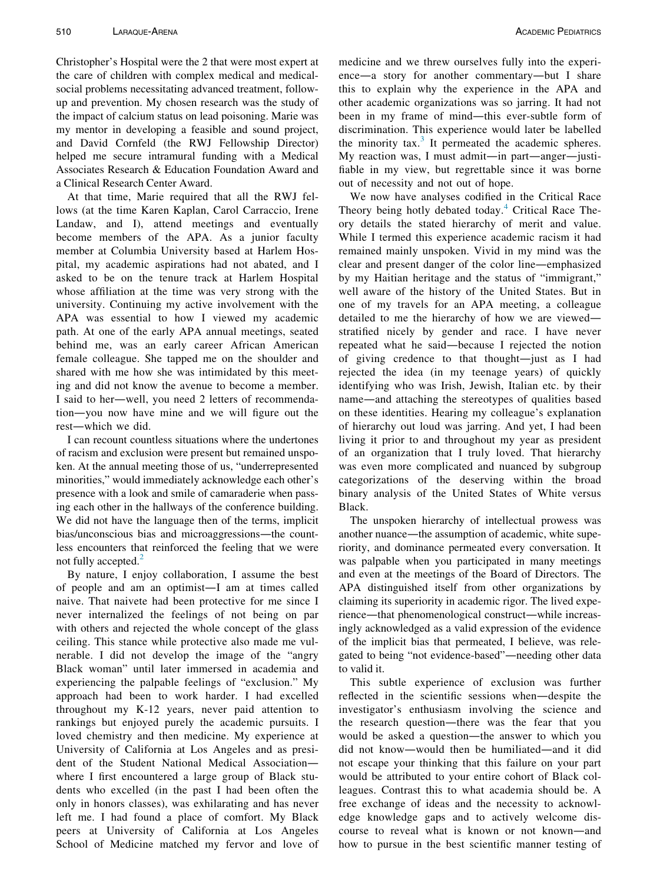Christopher's Hospital were the 2 that were most expert at the care of children with complex medical and medicalsocial problems necessitating advanced treatment, followup and prevention. My chosen research was the study of the impact of calcium status on lead poisoning. Marie was my mentor in developing a feasible and sound project, and David Cornfeld (the RWJ Fellowship Director) helped me secure intramural funding with a Medical Associates Research & Education Foundation Award and a Clinical Research Center Award.

At that time, Marie required that all the RWJ fellows (at the time Karen Kaplan, Carol Carraccio, Irene Landaw, and I), attend meetings and eventually become members of the APA. As a junior faculty member at Columbia University based at Harlem Hospital, my academic aspirations had not abated, and I asked to be on the tenure track at Harlem Hospital whose affiliation at the time was very strong with the university. Continuing my active involvement with the APA was essential to how I viewed my academic path. At one of the early APA annual meetings, seated behind me, was an early career African American female colleague. She tapped me on the shoulder and shared with me how she was intimidated by this meeting and did not know the avenue to become a member. I said to her—well, you need 2 letters of recommendation—you now have mine and we will figure out the rest—which we did.

I can recount countless situations where the undertones of racism and exclusion were present but remained unspoken. At the annual meeting those of us, "underrepresented minorities," would immediately acknowledge each other's presence with a look and smile of camaraderie when passing each other in the hallways of the conference building. We did not have the language then of the terms, implicit bias/unconscious bias and microaggressions—the countless encounters that reinforced the feeling that we were not fully accepted.<sup>[2](#page-3-1)</sup>

By nature, I enjoy collaboration, I assume the best of people and am an optimist—I am at times called naive. That naivete had been protective for me since I never internalized the feelings of not being on par with others and rejected the whole concept of the glass ceiling. This stance while protective also made me vulnerable. I did not develop the image of the "angry Black woman" until later immersed in academia and experiencing the palpable feelings of "exclusion." My approach had been to work harder. I had excelled throughout my K-12 years, never paid attention to rankings but enjoyed purely the academic pursuits. I loved chemistry and then medicine. My experience at University of California at Los Angeles and as president of the Student National Medical Association where I first encountered a large group of Black students who excelled (in the past I had been often the only in honors classes), was exhilarating and has never left me. I had found a place of comfort. My Black peers at University of California at Los Angeles School of Medicine matched my fervor and love of

medicine and we threw ourselves fully into the experience—a story for another commentary—but I share this to explain why the experience in the APA and other academic organizations was so jarring. It had not been in my frame of mind—this ever-subtle form of discrimination. This experience would later be labelled the minority tax. $3$  It permeated the academic spheres. My reaction was, I must admit—in part—anger—justifiable in my view, but regrettable since it was borne out of necessity and not out of hope.

We now have analyses codified in the Critical Race Theory being hotly debated today.<sup>[4](#page-3-3)</sup> Critical Race Theory details the stated hierarchy of merit and value. While I termed this experience academic racism it had remained mainly unspoken. Vivid in my mind was the clear and present danger of the color line—emphasized by my Haitian heritage and the status of "immigrant," well aware of the history of the United States. But in one of my travels for an APA meeting, a colleague detailed to me the hierarchy of how we are viewed stratified nicely by gender and race. I have never repeated what he said—because I rejected the notion of giving credence to that thought—just as I had rejected the idea (in my teenage years) of quickly identifying who was Irish, Jewish, Italian etc. by their name—and attaching the stereotypes of qualities based on these identities. Hearing my colleague's explanation of hierarchy out loud was jarring. And yet, I had been living it prior to and throughout my year as president of an organization that I truly loved. That hierarchy was even more complicated and nuanced by subgroup categorizations of the deserving within the broad binary analysis of the United States of White versus Black.

The unspoken hierarchy of intellectual prowess was another nuance—the assumption of academic, white superiority, and dominance permeated every conversation. It was palpable when you participated in many meetings and even at the meetings of the Board of Directors. The APA distinguished itself from other organizations by claiming its superiority in academic rigor. The lived experience—that phenomenological construct—while increasingly acknowledged as a valid expression of the evidence of the implicit bias that permeated, I believe, was relegated to being "not evidence-based"—needing other data to valid it.

This subtle experience of exclusion was further reflected in the scientific sessions when—despite the investigator's enthusiasm involving the science and the research question—there was the fear that you would be asked a question—the answer to which you did not know—would then be humiliated—and it did not escape your thinking that this failure on your part would be attributed to your entire cohort of Black colleagues. Contrast this to what academia should be. A free exchange of ideas and the necessity to acknowledge knowledge gaps and to actively welcome discourse to reveal what is known or not known—and how to pursue in the best scientific manner testing of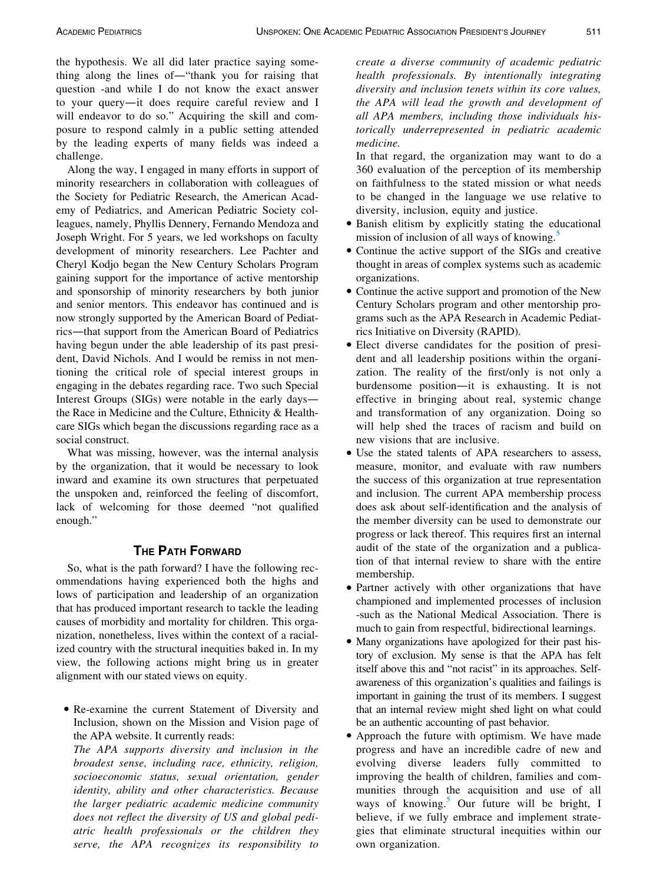the hypothesis. We all did later practice saying something along the lines of—"thank you for raising that question -and while I do not know the exact answer to your query—it does require careful review and I will endeavor to do so." Acquiring the skill and composure to respond calmly in a public setting attended by the leading experts of many fields was indeed a challenge.

Along the way, I engaged in many efforts in support of minority researchers in collaboration with colleagues of the Society for Pediatric Research, the American Academy of Pediatrics, and American Pediatric Society colleagues, namely, Phyllis Dennery, Fernando Mendoza and Joseph Wright. For 5 years, we led workshops on faculty development of minority researchers. Lee Pachter and Cheryl Kodjo began the New Century Scholars Program gaining support for the importance of active mentorship and sponsorship of minority researchers by both junior and senior mentors. This endeavor has continued and is now strongly supported by the American Board of Pediatrics—that support from the American Board of Pediatrics having begun under the able leadership of its past president, David Nichols. And I would be remiss in not mentioning the critical role of special interest groups in engaging in the debates regarding race. Two such Special Interest Groups (SIGs) were notable in the early days the Race in Medicine and the Culture, Ethnicity & Healthcare SIGs which began the discussions regarding race as a social construct.

What was missing, however, was the internal analysis by the organization, that it would be necessary to look inward and examine its own structures that perpetuated the unspoken and, reinforced the feeling of discomfort, lack of welcoming for those deemed "not qualified enough."

### **THE PATH FORWARD**

So, what is the path forward? I have the following recommendations having experienced both the highs and lows of participation and leadership of an organization that has produced important research to tackle the leading causes of morbidity and mortality for children. This organization, nonetheless, lives within the context of a racialized country with the structural inequities baked in. In my view, the following actions might bring us in greater alignment with our stated views on equity.

 Re-examine the current Statement of Diversity and Inclusion, shown on the Mission and Vision page of the APA website. It currently reads:

The APA supports diversity and inclusion in the broadest sense, including race, ethnicity, religion, socioeconomic status, sexual orientation, gender identity, ability and other characteristics. Because the larger pediatric academic medicine community does not reflect the diversity of US and global pediatric health professionals or the children they serve, the APA recognizes its responsibility to

create a diverse community of academic pediatric health professionals. By intentionally integrating diversity and inclusion tenets within its core values, the APA will lead the growth and development of all APA members, including those individuals historically underrepresented in pediatric academic medicine.

In that regard, the organization may want to do a 360 evaluation of the perception of its membership on faithfulness to the stated mission or what needs to be changed in the language we use relative to diversity, inclusion, equity and justice.

- Banish elitism by explicitly stating the educational mission of inclusion of all ways of knowing.<sup>[5](#page-3-4)</sup>
- Continue the active support of the SIGs and creative thought in areas of complex systems such as academic organizations.
- Continue the active support and promotion of the New Century Scholars program and other mentorship programs such as the APA Research in Academic Pediatrics Initiative on Diversity (RAPID).
- Elect diverse candidates for the position of president and all leadership positions within the organization. The reality of the first/only is not only a burdensome position—it is exhausting. It is not effective in bringing about real, systemic change and transformation of any organization. Doing so will help shed the traces of racism and build on new visions that are inclusive.
- Use the stated talents of APA researchers to assess, measure, monitor, and evaluate with raw numbers the success of this organization at true representation and inclusion. The current APA membership process does ask about self-identification and the analysis of the member diversity can be used to demonstrate our progress or lack thereof. This requires first an internal audit of the state of the organization and a publication of that internal review to share with the entire membership.
- Partner actively with other organizations that have championed and implemented processes of inclusion -such as the National Medical Association. There is much to gain from respectful, bidirectional learnings.
- Many organizations have apologized for their past history of exclusion. My sense is that the APA has felt itself above this and "not racist" in its approaches. Selfawareness of this organization's qualities and failings is important in gaining the trust of its members. I suggest that an internal review might shed light on what could be an authentic accounting of past behavior.
- Approach the future with optimism. We have made progress and have an incredible cadre of new and evolving diverse leaders fully committed to improving the health of children, families and communities through the acquisition and use of all ways of knowing.<sup>[5](#page-3-4)</sup> Our future will be bright, I believe, if we fully embrace and implement strategies that eliminate structural inequities within our own organization.